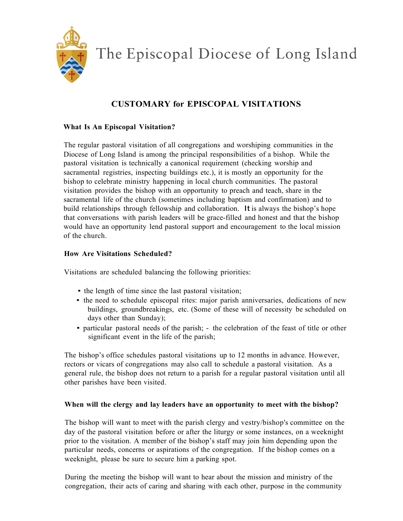

The Episcopal Diocese of Long Island

# **CUSTOMARY for EPISCOPAL VISITATIONS**

## **What Is An Episcopal Visitation?**

The regular pastoral visitation of all congregations and worshiping communities in the Diocese of Long Island is among the principal responsibilities of a bishop. While the pastoral visitation is technically a canonical requirement (checking worship and sacramental registries, inspecting buildings etc.), it is mostly an opportunity for the bishop to celebrate ministry happening in local church communities. The pastoral visitation provides the bishop with an opportunity to preach and teach, share in the sacramental life of the church (sometimes including baptism and confirmation) and to build relationships through fellowship and collaboration. It is always the bishop's hope that conversations with parish leaders will be grace-filled and honest and that the bishop would have an opportunity lend pastoral support and encouragement to the local mission of the church.

### **How Are Visitations Scheduled?**

Visitations are scheduled balancing the following priorities:

- the length of time since the last pastoral visitation;
- the need to schedule episcopal rites: major parish anniversaries, dedications of new buildings, groundbreakings, etc. (Some of these will of necessity be scheduled on days other than Sunday);
- particular pastoral needs of the parish; the celebration of the feast of title or other significant event in the life of the parish;

The bishop's office schedules pastoral visitations up to 12 months in advance. However, rectors or vicars of congregations may also call to schedule a pastoral visitation. As a general rule, the bishop does not return to a parish for a regular pastoral visitation until all other parishes have been visited.

### **When will the clergy and lay leaders have an opportunity to meet with the bishop?**

The bishop will want to meet with the parish clergy and vestry/bishop's committee on the day of the pastoral visitation before or after the liturgy or some instances, on a weeknight prior to the visitation. A member of the bishop's staff may join him depending upon the particular needs, concerns or aspirations of the congregation. If the bishop comes on a weeknight, please be sure to secure him a parking spot.

During the meeting the bishop will want to hear about the mission and ministry of the congregation, their acts of caring and sharing with each other, purpose in the community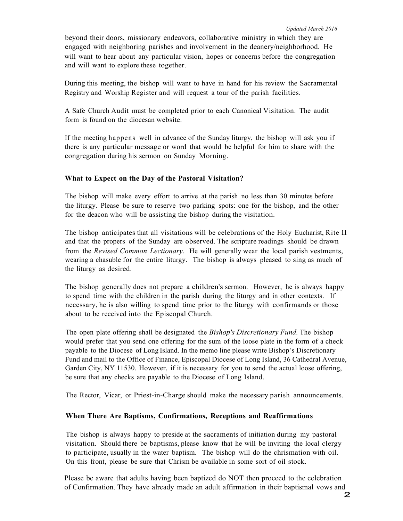beyond their doors, missionary endeavors, collaborative ministry in which they are engaged with neighboring parishes and involvement in the deanery/neighborhood. He will want to hear about any particular vision, hopes or concerns before the congregation and will want to explore these together.

During this meeting, the bishop will want to have in hand for his review the Sacramental Registry and Worship Register and will request a tour of the parish facilities.

A Safe Church Audit must be completed prior to each Canonical Visitation. The audit form is found on the diocesan website.

If the meeting happens well in advance of the Sunday liturgy, the bishop will ask you if there is any particular message or word that would be helpful for him to share with the congregation during his sermon on Sunday Morning.

#### **What to Expect on the Day of the Pastoral Visitation?**

The bishop will make every effort to arrive at the parish no less than 30 minutes before the liturgy. Please be sure to reserve two parking spots: one for the bishop, and the other for the deacon who will be assisting the bishop during the visitation.

The bishop anticipates that all visitations will be celebrations of the Holy Eucharist, Rite II and that the propers of the Sunday are observed. The scripture readings should be drawn from the *Revised Common Lectionary.* He will generally wear the local parish vestments, wearing a chasuble for the entire liturgy. The bishop is always pleased to sing as much of the liturgy as desired.

The bishop generally does not prepare a children's sermon. However, he is always happy to spend time with the children in the parish during the liturgy and in other contexts. If necessary, he is also willing to spend time prior to the liturgy with confirmands or those about to be received into the Episcopal Church.

The open plate offering shall be designated the *Bishop's Discretionary Fund.* The bishop would prefer that you send one offering for the sum of the loose plate in the form of a check payable to the Diocese of Long Island. In the memo line please write Bishop's Discretionary Fund and mail to the Office of Finance, Episcopal Diocese of Long Island, 36 Cathedral Avenue, Garden City, NY 11530. However, if it is necessary for you to send the actual loose offering, be sure that any checks are payable to the Diocese of Long Island.

The Rector, Vicar, or Priest-in-Charge should make the necessary parish announcements.

#### **When There Are Baptisms, Confirmations, Receptions and Reaffirmations**

The bishop is always happy to preside at the sacraments of initiation during my pastoral visitation. Should there be baptisms, please know that he will be inviting the local clergy to participate, usually in the water baptism. The bishop will do the chrismation with oil. On this front, please be sure that Chrism be available in some sort of oil stock.

Please be aware that adults having been baptized do NOT then proceed to the celebration of Confirmation. They have already made an adult affirmation in their baptismal vows and